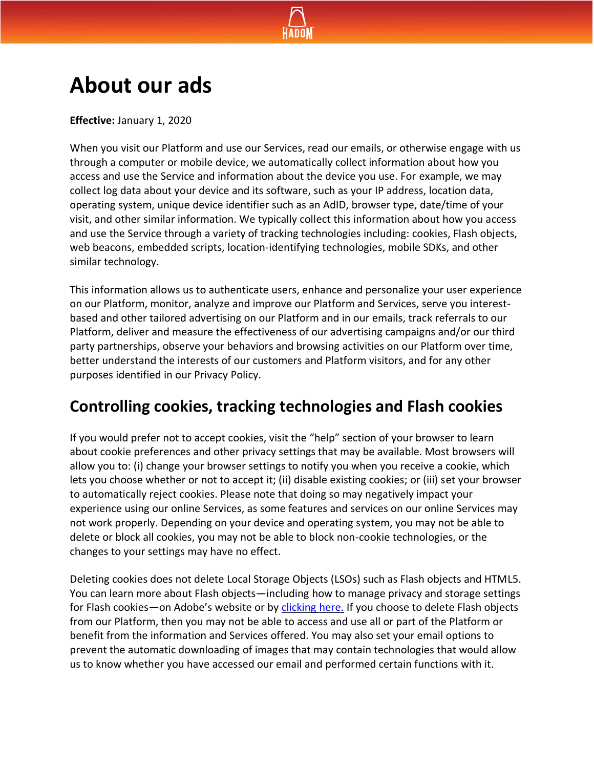

# **About our ads**

**Effective:** January 1, 2020

When you visit our Platform and use our Services, read our emails, or otherwise engage with us through a computer or mobile device, we automatically collect information about how you access and use the Service and information about the device you use. For example, we may collect log data about your device and its software, such as your IP address, location data, operating system, unique device identifier such as an AdID, browser type, date/time of your visit, and other similar information. We typically collect this information about how you access and use the Service through a variety of tracking technologies including: cookies, Flash objects, web beacons, embedded scripts, location-identifying technologies, mobile SDKs, and other similar technology.

This information allows us to authenticate users, enhance and personalize your user experience on our Platform, monitor, analyze and improve our Platform and Services, serve you interestbased and other tailored advertising on our Platform and in our emails, track referrals to our Platform, deliver and measure the effectiveness of our advertising campaigns and/or our third party partnerships, observe your behaviors and browsing activities on our Platform over time, better understand the interests of our customers and Platform visitors, and for any other purposes identified in our Privacy Policy.

### **Controlling cookies, tracking technologies and Flash cookies**

If you would prefer not to accept cookies, visit the "help" section of your browser to learn about cookie preferences and other privacy settings that may be available. Most browsers will allow you to: (i) change your browser settings to notify you when you receive a cookie, which lets you choose whether or not to accept it; (ii) disable existing cookies; or (iii) set your browser to automatically reject cookies. Please note that doing so may negatively impact your experience using our online Services, as some features and services on our online Services may not work properly. Depending on your device and operating system, you may not be able to delete or block all cookies, you may not be able to block non-cookie technologies, or the changes to your settings may have no effect.

Deleting cookies does not delete Local Storage Objects (LSOs) such as Flash objects and HTML5. You can learn more about Flash objects—including how to manage privacy and storage settings for Flash cookies—on Adobe's website or by [clicking here.](https://helpx.adobe.com/flash-player/kb/disable-local-shared-objects-flash.html) If you choose to delete Flash objects from our Platform, then you may not be able to access and use all or part of the Platform or benefit from the information and Services offered. You may also set your email options to prevent the automatic downloading of images that may contain technologies that would allow us to know whether you have accessed our email and performed certain functions with it.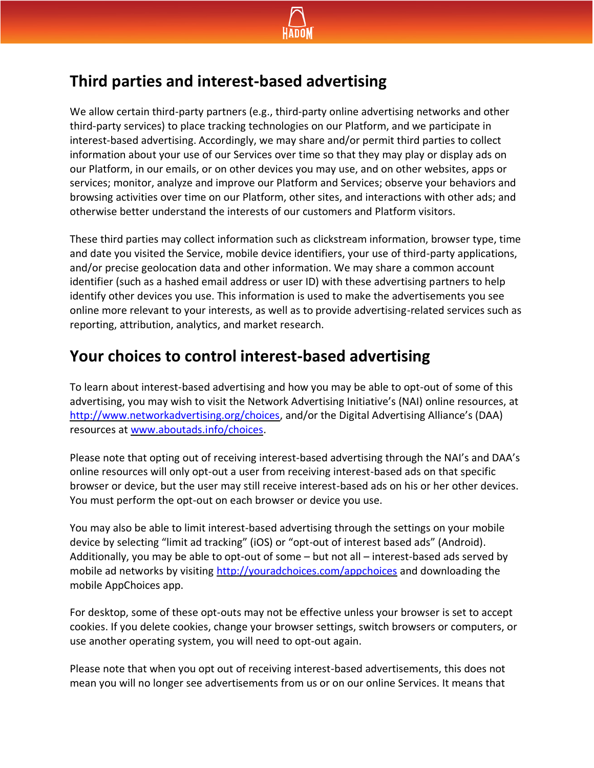

### **Third parties and interest-based advertising**

We allow certain third-party partners (e.g., third-party online advertising networks and other third-party services) to place tracking technologies on our Platform, and we participate in interest-based advertising. Accordingly, we may share and/or permit third parties to collect information about your use of our Services over time so that they may play or display ads on our Platform, in our emails, or on other devices you may use, and on other websites, apps or services; monitor, analyze and improve our Platform and Services; observe your behaviors and browsing activities over time on our Platform, other sites, and interactions with other ads; and otherwise better understand the interests of our customers and Platform visitors.

These third parties may collect information such as clickstream information, browser type, time and date you visited the Service, mobile device identifiers, your use of third-party applications, and/or precise geolocation data and other information. We may share a common account identifier (such as a hashed email address or user ID) with these advertising partners to help identify other devices you use. This information is used to make the advertisements you see online more relevant to your interests, as well as to provide advertising-related services such as reporting, attribution, analytics, and market research.

## **Your choices to control interest-based advertising**

To learn about interest-based advertising and how you may be able to opt-out of some of this advertising, you may wish to visit the Network Advertising Initiative's (NAI) online resources, at [http://www.networkadvertising.org/choices,](http://www.networkadvertising.org/choices) and/or the Digital Advertising Alliance's (DAA) resources at [www.aboutads.info/choices.](http://www.aboutads.info/choices)

Please note that opting out of receiving interest-based advertising through the NAI's and DAA's online resources will only opt-out a user from receiving interest-based ads on that specific browser or device, but the user may still receive interest-based ads on his or her other devices. You must perform the opt-out on each browser or device you use.

You may also be able to limit interest-based advertising through the settings on your mobile device by selecting "limit ad tracking" (iOS) or "opt-out of interest based ads" (Android). Additionally, you may be able to opt-out of some – but not all – interest-based ads served by mobile ad networks by visiting<http://youradchoices.com/appchoices> and downloading the mobile AppChoices app.

For desktop, some of these opt-outs may not be effective unless your browser is set to accept cookies. If you delete cookies, change your browser settings, switch browsers or computers, or use another operating system, you will need to opt-out again.

Please note that when you opt out of receiving interest-based advertisements, this does not mean you will no longer see advertisements from us or on our online Services. It means that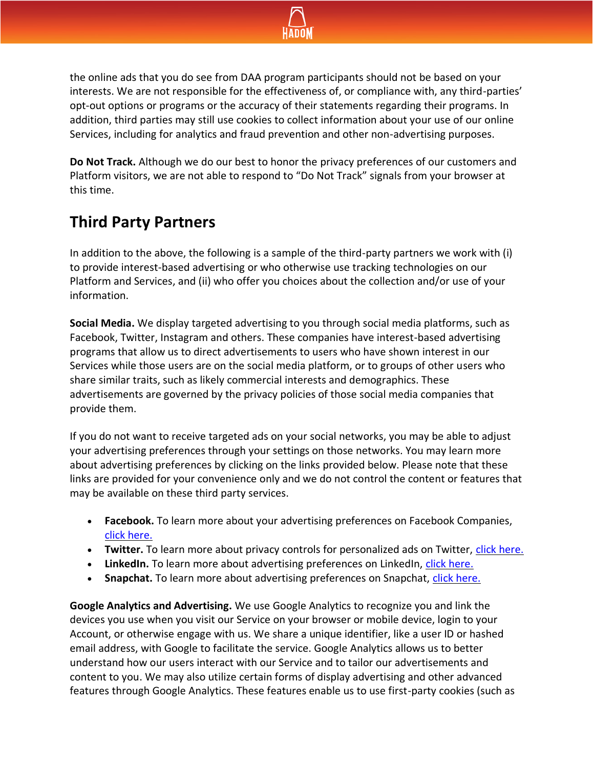

the online ads that you do see from DAA program participants should not be based on your interests. We are not responsible for the effectiveness of, or compliance with, any third-parties' opt-out options or programs or the accuracy of their statements regarding their programs. In addition, third parties may still use cookies to collect information about your use of our online Services, including for analytics and fraud prevention and other non-advertising purposes.

**Do Not Track.** Although we do our best to honor the privacy preferences of our customers and Platform visitors, we are not able to respond to "Do Not Track" signals from your browser at this time.

## **Third Party Partners**

In addition to the above, the following is a sample of the third-party partners we work with (i) to provide interest-based advertising or who otherwise use tracking technologies on our Platform and Services, and (ii) who offer you choices about the collection and/or use of your information.

**Social Media.** We display targeted advertising to you through social media platforms, such as Facebook, Twitter, Instagram and others. These companies have interest-based advertising programs that allow us to direct advertisements to users who have shown interest in our Services while those users are on the social media platform, or to groups of other users who share similar traits, such as likely commercial interests and demographics. These advertisements are governed by the privacy policies of those social media companies that provide them.

If you do not want to receive targeted ads on your social networks, you may be able to adjust your advertising preferences through your settings on those networks. You may learn more about advertising preferences by clicking on the links provided below. Please note that these links are provided for your convenience only and we do not control the content or features that may be available on these third party services.

- **Facebook.** To learn more about your advertising preferences on Facebook Companies, [click here.](https://www.facebook.com/help/109378269482053)
- **Twitter.** To learn more about privacy controls for personalized ads on Twitter, [click here.](https://help.twitter.com/en/safety-and-security/privacy-controls-for-tailored-ads)
- LinkedIn. To learn more about advertising preferences on LinkedIn, [click here.](https://www.linkedin.com/psettings/advertising)
- **Snapchat.** To learn more about advertising preferences on Snapchat, [click here.](https://support.snapchat.com/en-US/a/advertising-preferences)

**Google Analytics and Advertising.** We use Google Analytics to recognize you and link the devices you use when you visit our Service on your browser or mobile device, login to your Account, or otherwise engage with us. We share a unique identifier, like a user ID or hashed email address, with Google to facilitate the service. Google Analytics allows us to better understand how our users interact with our Service and to tailor our advertisements and content to you. We may also utilize certain forms of display advertising and other advanced features through Google Analytics. These features enable us to use first-party cookies (such as